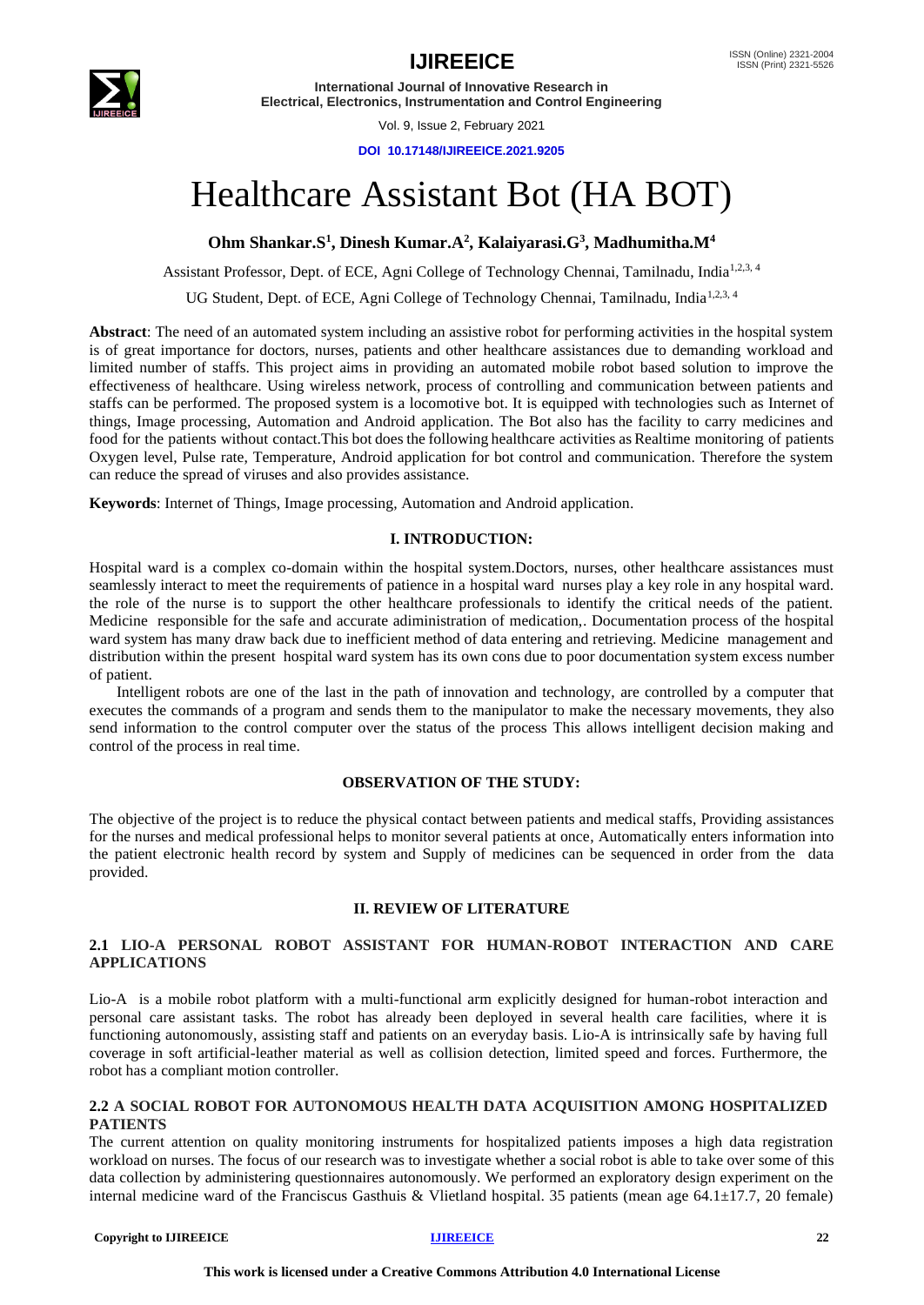

**International Journal of Innovative Research in Electrical, Electronics, Instrumentation and Control Engineering**

Vol. 9, Issue 2, February 2021

**DOI 10.17148/IJIREEICE.2021.9205**

# Healthcare Assistant Bot (HA BOT)

**Ohm Shankar.S<sup>1</sup> , Dinesh Kumar.A<sup>2</sup> , Kalaiyarasi.G<sup>3</sup> , Madhumitha.M<sup>4</sup>**

Assistant Professor, Dept. of ECE, Agni College of Technology Chennai, Tamilnadu, India<sup>1,2,3,4</sup>

UG Student, Dept. of ECE, Agni College of Technology Chennai, Tamilnadu, India<sup>1,2,3, 4</sup>

**Abstract**: The need of an automated system including an assistive robot for performing activities in the hospital system is of great importance for doctors, nurses, patients and other healthcare assistances due to demanding workload and limited number of staffs. This project aims in providing an automated mobile robot based solution to improve the effectiveness of healthcare. Using wireless network, process of controlling and communication between patients and staffs can be performed. The proposed system is a locomotive bot. It is equipped with technologies such as Internet of things, Image processing, Automation and Android application. The Bot also has the facility to carry medicines and food for the patients without contact.This bot does the following healthcare activities as Realtime monitoring of patients Oxygen level, Pulse rate, Temperature, Android application for bot control and communication. Therefore the system can reduce the spread of viruses and also provides assistance.

**Keywords**: Internet of Things, Image processing, Automation and Android application.

### **I. INTRODUCTION:**

Hospital ward is a complex co-domain within the hospital system.Doctors, nurses, other healthcare assistances must seamlessly interact to meet the requirements of patience in a hospital ward nurses play a key role in any hospital ward. the role of the nurse is to support the other healthcare professionals to identify the critical needs of the patient. Medicine responsible for the safe and accurate adiministration of medication,. Documentation process of the hospital ward system has many draw back due to inefficient method of data entering and retrieving. Medicine management and distribution within the present hospital ward system has its own cons due to poor documentation system excess number of patient.

 Intelligent robots are one of the last in the path of innovation and technology, are controlled by a computer that executes the commands of a program and sends them to the manipulator to make the necessary movements, they also send information to the control computer over the status of the process This allows intelligent decision making and control of the process in real time.

### **OBSERVATION OF THE STUDY:**

The objective of the project is to reduce the physical contact between patients and medical staffs, Providing assistances for the nurses and medical professional helps to monitor several patients at once, Automatically enters information into the patient electronic health record by system and Supply of medicines can be sequenced in order from the data provided.

#### **II. REVIEW OF LITERATURE**

### **2.1 LIO-A PERSONAL ROBOT ASSISTANT FOR HUMAN-ROBOT INTERACTION AND CARE APPLICATIONS**

Lio-A is a mobile robot platform with a multi-functional arm explicitly designed for human-robot interaction and personal care assistant tasks. The robot has already been deployed in several health care facilities, where it is functioning autonomously, assisting staff and patients on an everyday basis. Lio-A is intrinsically safe by having full coverage in soft artificial-leather material as well as collision detection, limited speed and forces. Furthermore, the robot has a compliant motion controller.

#### **2.2 A SOCIAL ROBOT FOR AUTONOMOUS HEALTH DATA ACQUISITION AMONG HOSPITALIZED PATIENTS**

The current attention on quality monitoring instruments for hospitalized patients imposes a high data registration workload on nurses. The focus of our research was to investigate whether a social robot is able to take over some of this data collection by administering questionnaires autonomously. We performed an exploratory design experiment on the internal medicine ward of the Franciscus Gasthuis & Vlietland hospital. 35 patients (mean age  $64.1 \pm 17.7$ , 20 female)

#### **Copyright to IJIREEICE** 22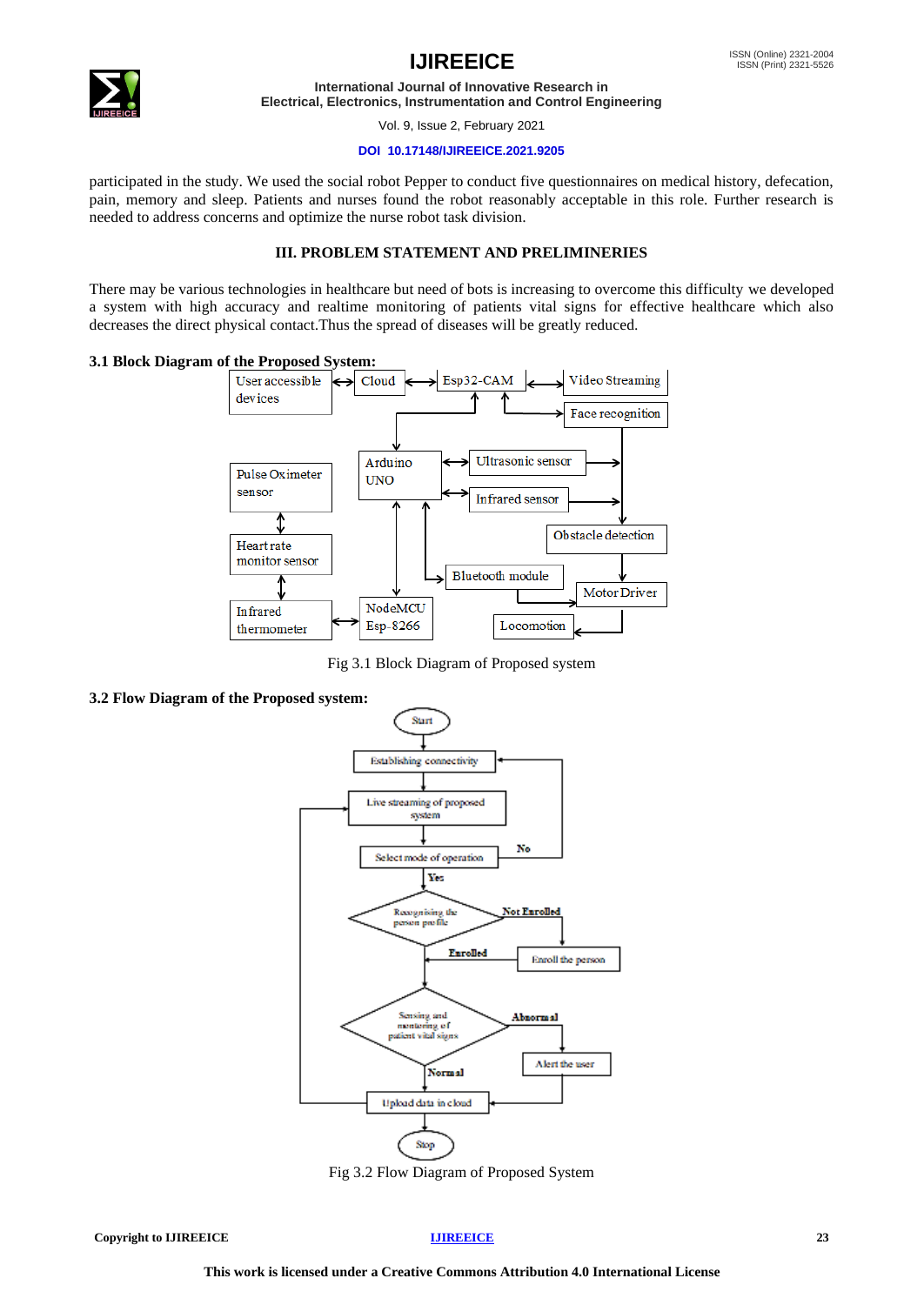

# **IJIREEICE ISSN** (Online) 2321-2004

**International Journal of Innovative Research in Electrical, Electronics, Instrumentation and Control Engineering**

Vol. 9, Issue 2, February 2021

#### **DOI 10.17148/IJIREEICE.2021.9205**

participated in the study. We used the social robot Pepper to conduct five questionnaires on medical history, defecation, pain, memory and sleep. Patients and nurses found the robot reasonably acceptable in this role. Further research is needed to address concerns and optimize the nurse robot task division.

#### **III. PROBLEM STATEMENT AND PRELIMINERIES**

There may be various technologies in healthcare but need of bots is increasing to overcome this difficulty we developed a system with high accuracy and realtime monitoring of patients vital signs for effective healthcare which also decreases the direct physical contact.Thus the spread of diseases will be greatly reduced.

#### **3.1 Block Diagram of the Proposed System:**



Fig 3.1 Block Diagram of Proposed system

#### **3.2 Flow Diagram of the Proposed system:**



Fig 3.2 Flow Diagram of Proposed System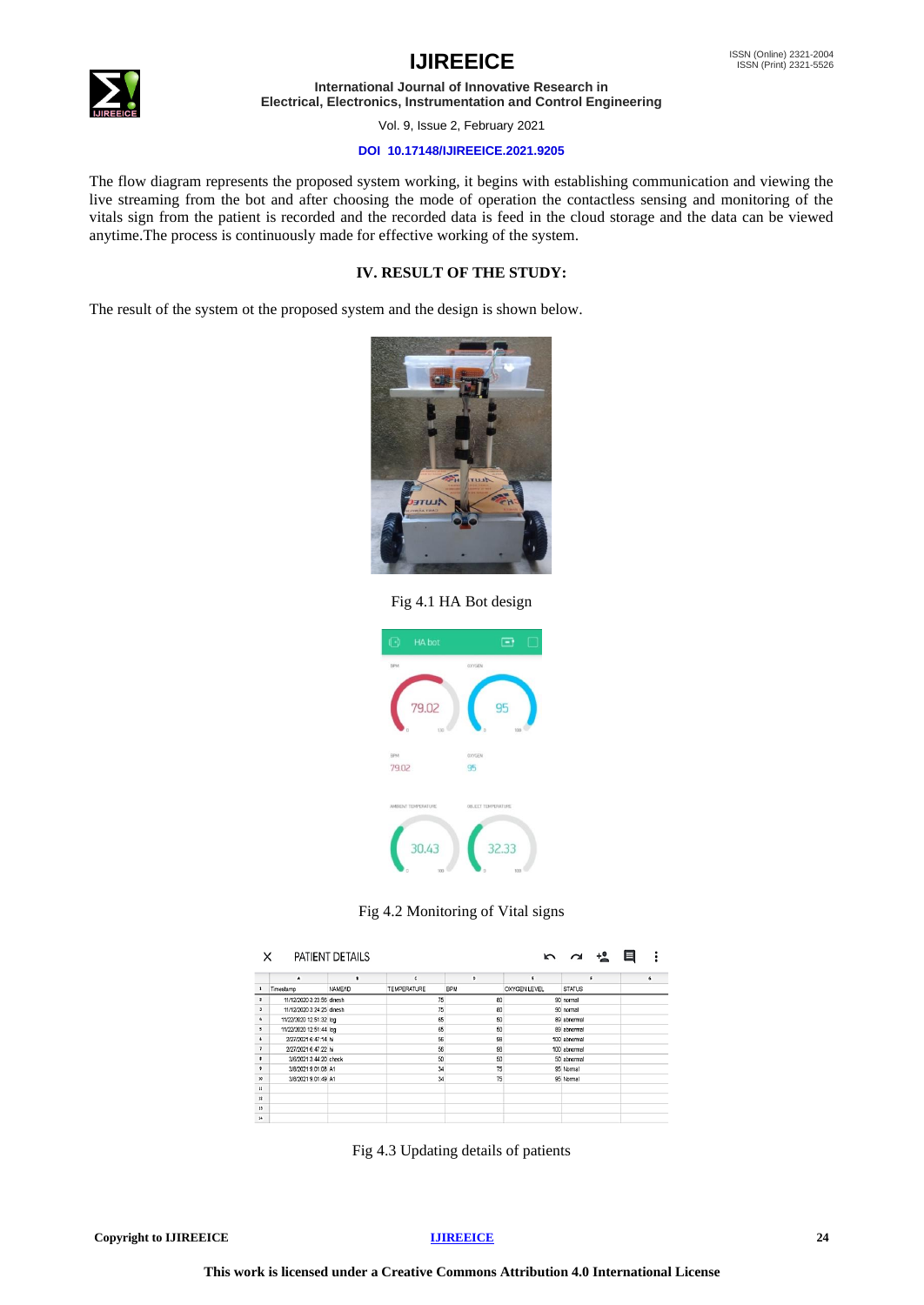## **IJIREEICE ISSN** (Online) 2321-2004



**International Journal of Innovative Research in Electrical, Electronics, Instrumentation and Control Engineering**

Vol. 9, Issue 2, February 2021

#### **DOI 10.17148/IJIREEICE.2021.9205**

The flow diagram represents the proposed system working, it begins with establishing communication and viewing the live streaming from the bot and after choosing the mode of operation the contactless sensing and monitoring of the vitals sign from the patient is recorded and the recorded data is feed in the cloud storage and the data can be viewed anytime.The process is continuously made for effective working of the system.

### **IV. RESULT OF THE STUDY:**

The result of the system ot the proposed system and the design is shown below.



Fig 4.1 HA Bot design



Fig 4.2 Monitoring of Vital signs

| PATIENT DETAILS<br>$+2$<br>$\sim$<br>$\sim$ |                           |                      |                    |            |                     |               |  |            |
|---------------------------------------------|---------------------------|----------------------|--------------------|------------|---------------------|---------------|--|------------|
|                                             | A                         | $\ddot{\phantom{a}}$ | c                  | Þ          | t.                  | t.            |  | $\epsilon$ |
| $\mathbf{1}$                                | Timestamp                 | NAME/ID              | <b>TEMPERATURE</b> | <b>BPM</b> | <b>OXYGEN LEVEL</b> | <b>STATUS</b> |  |            |
| $\overline{\mathbf{c}}$                     | 11/12/2020 3:23:56 dinesh |                      | 75                 | 80         |                     | 90 normal     |  |            |
| $\mathbf{1}$                                | 11/12/2020 3:24:25 dinesh |                      | 75                 | 80         |                     | 90 normal     |  |            |
| $\ddot{\phantom{a}}$                        | 11/22/2020 12:51:32 log   |                      | 65                 | 50         |                     | 89 abnormal   |  |            |
| ,                                           | 11/22/2020 12:51:44 log   |                      | 65                 | 50         |                     | 89 abnormal   |  |            |
| $\ddot{\phantom{1}}$                        | 2/27/2021 6:47:14 hi      |                      | 56                 | 98         |                     | 100 abnormal  |  |            |
| $\overline{\phantom{a}}$                    | 2/27/2021 6:47:22 hi      |                      | 56                 | 98         |                     | 100 abnormal  |  |            |
|                                             | 3/6/2021 3:44:20 check    |                      | 50                 | 50         |                     | 50 abnormal   |  |            |
| ,                                           | 3/8/2021 9:01:08 A1       |                      | 34                 | 75         |                     | 95 Normal     |  |            |
| 10                                          | 3/8/2021 9:01:49 A1       |                      | 34                 | 75         |                     | 95 Normal     |  |            |
| 11                                          |                           |                      |                    |            |                     |               |  |            |
| 12                                          |                           |                      |                    |            |                     |               |  |            |
| 13                                          |                           |                      |                    |            |                     |               |  |            |
| 14                                          |                           |                      |                    |            |                     |               |  |            |

Fig 4.3 Updating details of patients